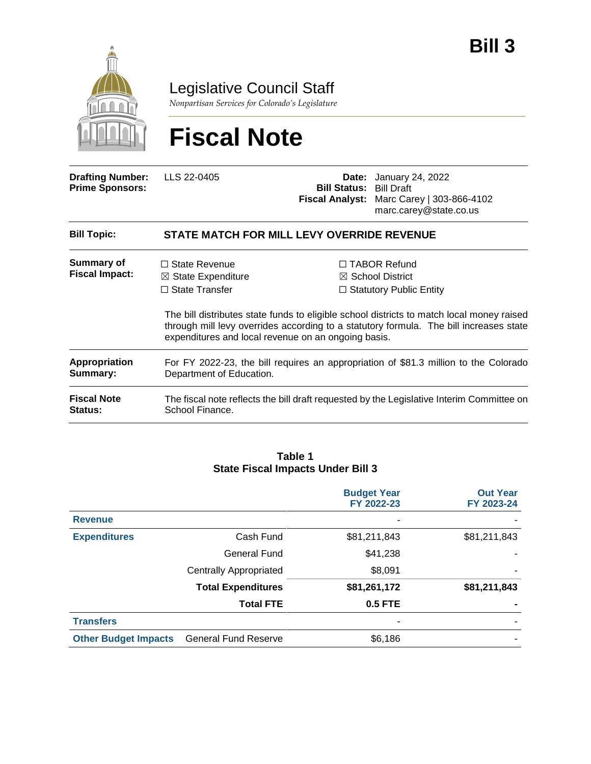

Legislative Council Staff

*Nonpartisan Services for Colorado's Legislature*

# **Fiscal Note**

| <b>Drafting Number:</b><br><b>Prime Sponsors:</b> | LLS 22-0405                                                                                                                           | <b>Bill Status: Bill Draft</b> | <b>Date:</b> January 24, 2022<br>Fiscal Analyst: Marc Carey   303-866-4102<br>marc.carey@state.co.us                                                                                                                                                                        |  |  |  |
|---------------------------------------------------|---------------------------------------------------------------------------------------------------------------------------------------|--------------------------------|-----------------------------------------------------------------------------------------------------------------------------------------------------------------------------------------------------------------------------------------------------------------------------|--|--|--|
| <b>Bill Topic:</b>                                | <b>STATE MATCH FOR MILL LEVY OVERRIDE REVENUE</b>                                                                                     |                                |                                                                                                                                                                                                                                                                             |  |  |  |
| Summary of<br><b>Fiscal Impact:</b>               | $\Box$ State Revenue<br>$\boxtimes$ State Expenditure<br>$\Box$ State Transfer<br>expenditures and local revenue on an ongoing basis. |                                | $\Box$ TABOR Refund<br>$\boxtimes$ School District<br>$\Box$ Statutory Public Entity<br>The bill distributes state funds to eligible school districts to match local money raised<br>through mill levy overrides according to a statutory formula. The bill increases state |  |  |  |
| Appropriation<br>Summary:                         | For FY 2022-23, the bill requires an appropriation of \$81.3 million to the Colorado<br>Department of Education.                      |                                |                                                                                                                                                                                                                                                                             |  |  |  |
| <b>Fiscal Note</b><br><b>Status:</b>              | The fiscal note reflects the bill draft requested by the Legislative Interim Committee on<br>School Finance.                          |                                |                                                                                                                                                                                                                                                                             |  |  |  |

#### **Table 1 State Fiscal Impacts Under Bill 3**

|                             |                               | <b>Budget Year</b><br>FY 2022-23 | <b>Out Year</b><br>FY 2023-24 |
|-----------------------------|-------------------------------|----------------------------------|-------------------------------|
| <b>Revenue</b>              |                               | ۰                                |                               |
| <b>Expenditures</b>         | Cash Fund                     | \$81,211,843                     | \$81,211,843                  |
|                             | General Fund                  | \$41,238                         |                               |
|                             | <b>Centrally Appropriated</b> | \$8,091                          |                               |
|                             | <b>Total Expenditures</b>     | \$81,261,172                     | \$81,211,843                  |
|                             | <b>Total FTE</b>              | <b>0.5 FTE</b>                   |                               |
| <b>Transfers</b>            |                               | ۰                                |                               |
| <b>Other Budget Impacts</b> | <b>General Fund Reserve</b>   | \$6,186                          |                               |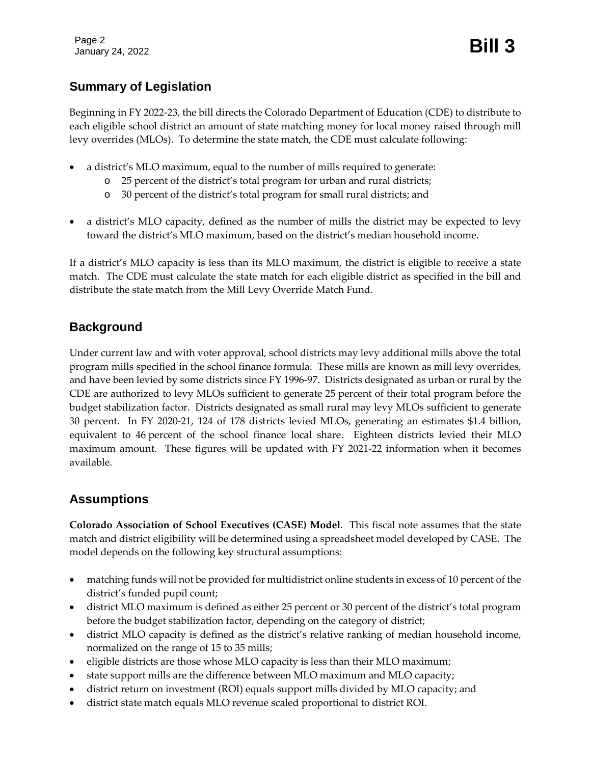Page 2 January 24, 2022 **Bill 3**

## **Summary of Legislation**

Beginning in FY 2022-23, the bill directs the Colorado Department of Education (CDE) to distribute to each eligible school district an amount of state matching money for local money raised through mill levy overrides (MLOs). To determine the state match, the CDE must calculate following:

- a district's MLO maximum, equal to the number of mills required to generate:
	- o 25 percent of the district's total program for urban and rural districts;
	- o 30 percent of the district's total program for small rural districts; and
- a district's MLO capacity, defined as the number of mills the district may be expected to levy toward the district's MLO maximum, based on the district's median household income.

If a district's MLO capacity is less than its MLO maximum, the district is eligible to receive a state match. The CDE must calculate the state match for each eligible district as specified in the bill and distribute the state match from the Mill Levy Override Match Fund.

## **Background**

Under current law and with voter approval, school districts may levy additional mills above the total program mills specified in the school finance formula. These mills are known as mill levy overrides, and have been levied by some districts since FY 1996-97. Districts designated as urban or rural by the CDE are authorized to levy MLOs sufficient to generate 25 percent of their total program before the budget stabilization factor. Districts designated as small rural may levy MLOs sufficient to generate 30 percent. In FY 2020-21, 124 of 178 districts levied MLOs, generating an estimates \$1.4 billion, equivalent to 46 percent of the school finance local share. Eighteen districts levied their MLO maximum amount. These figures will be updated with FY 2021-22 information when it becomes available.

## **Assumptions**

**Colorado Association of School Executives (CASE) Model**. This fiscal note assumes that the state match and district eligibility will be determined using a spreadsheet model developed by CASE. The model depends on the following key structural assumptions:

- matching funds will not be provided for multidistrict online students in excess of 10 percent of the district's funded pupil count;
- district MLO maximum is defined as either 25 percent or 30 percent of the district's total program before the budget stabilization factor, depending on the category of district;
- district MLO capacity is defined as the district's relative ranking of median household income, normalized on the range of 15 to 35 mills;
- eligible districts are those whose MLO capacity is less than their MLO maximum;
- state support mills are the difference between MLO maximum and MLO capacity;
- district return on investment (ROI) equals support mills divided by MLO capacity; and
- district state match equals MLO revenue scaled proportional to district ROI.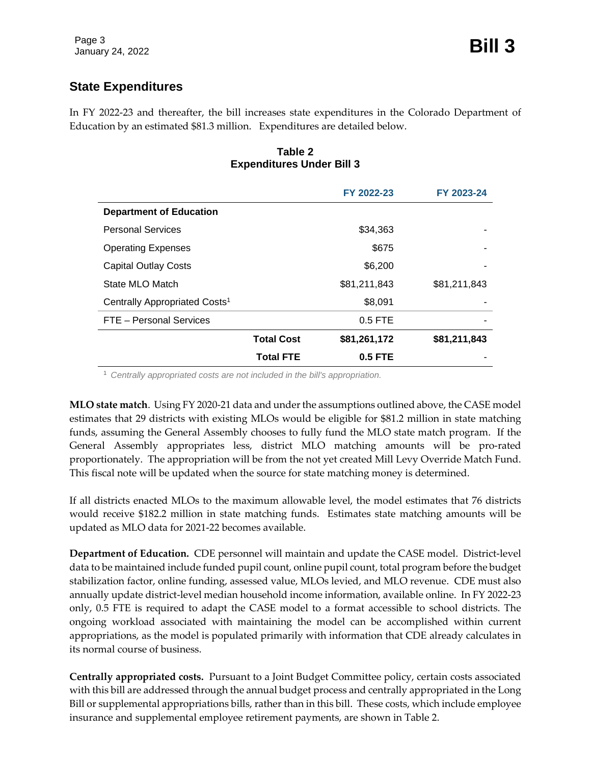## **State Expenditures**

In FY 2022-23 and thereafter, the bill increases state expenditures in the Colorado Department of Education by an estimated \$81.3 million. Expenditures are detailed below.

#### **Table 2 Expenditures Under Bill 3**

|                                           |                   | FY 2022-23   | FY 2023-24   |
|-------------------------------------------|-------------------|--------------|--------------|
| <b>Department of Education</b>            |                   |              |              |
| <b>Personal Services</b>                  |                   | \$34,363     |              |
| <b>Operating Expenses</b>                 |                   | \$675        |              |
| <b>Capital Outlay Costs</b>               |                   | \$6,200      |              |
| State MLO Match                           |                   | \$81,211,843 | \$81,211,843 |
| Centrally Appropriated Costs <sup>1</sup> |                   | \$8,091      |              |
| FTE - Personal Services                   |                   | $0.5$ FTE    |              |
|                                           | <b>Total Cost</b> | \$81,261,172 | \$81,211,843 |
|                                           | <b>Total FTE</b>  | $0.5$ FTE    |              |

<sup>1</sup> *Centrally appropriated costs are not included in the bill's appropriation.*

**MLO state match**. Using FY 2020-21 data and under the assumptions outlined above, the CASE model estimates that 29 districts with existing MLOs would be eligible for \$81.2 million in state matching funds, assuming the General Assembly chooses to fully fund the MLO state match program. If the General Assembly appropriates less, district MLO matching amounts will be pro-rated proportionately. The appropriation will be from the not yet created Mill Levy Override Match Fund. This fiscal note will be updated when the source for state matching money is determined.

If all districts enacted MLOs to the maximum allowable level, the model estimates that 76 districts would receive \$182.2 million in state matching funds. Estimates state matching amounts will be updated as MLO data for 2021-22 becomes available.

**Department of Education.** CDE personnel will maintain and update the CASE model. District-level data to be maintained include funded pupil count, online pupil count, total program before the budget stabilization factor, online funding, assessed value, MLOs levied, and MLO revenue. CDE must also annually update district-level median household income information, available online. In FY 2022-23 only, 0.5 FTE is required to adapt the CASE model to a format accessible to school districts. The ongoing workload associated with maintaining the model can be accomplished within current appropriations, as the model is populated primarily with information that CDE already calculates in its normal course of business.

**Centrally appropriated costs.** Pursuant to a Joint Budget Committee policy, certain costs associated with this bill are addressed through the annual budget process and centrally appropriated in the Long Bill or supplemental appropriations bills, rather than in this bill. These costs, which include employee insurance and supplemental employee retirement payments, are shown in Table 2.